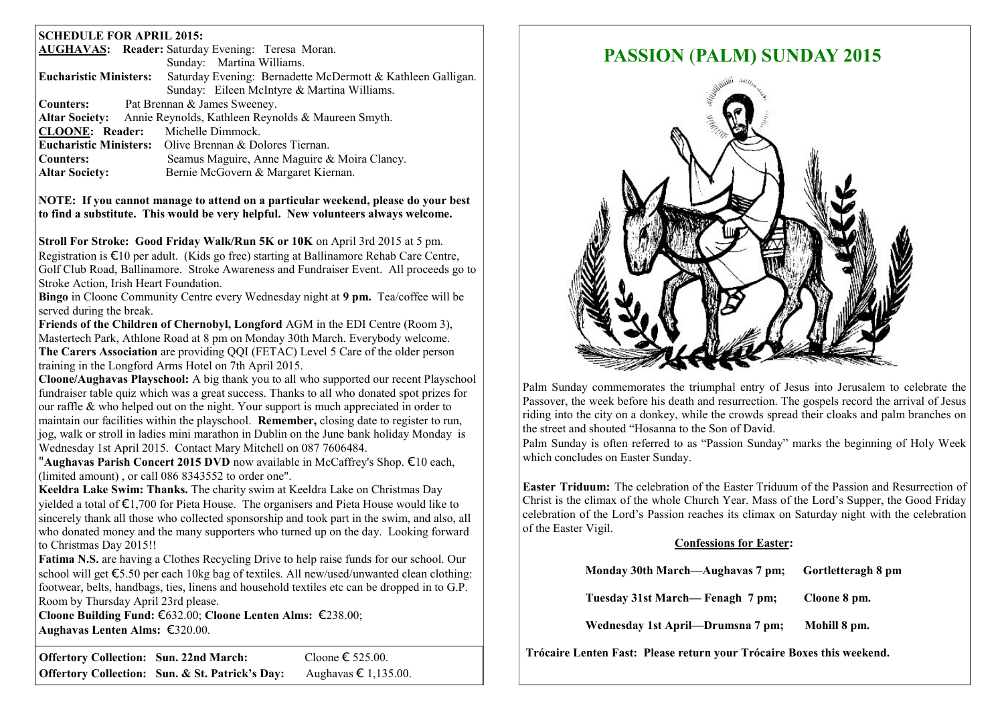#### **SCHEDULE FOR APRIL 2015:**

|                                                                          | <b>AUGHAVAS: Reader:</b> Saturday Evening: Teresa Moran.       |  |  |
|--------------------------------------------------------------------------|----------------------------------------------------------------|--|--|
|                                                                          | Sunday: Martina Williams.                                      |  |  |
| Eucharistic Ministers:                                                   | Saturday Evening: Bernadette McDermott & Kathleen Galligan.    |  |  |
|                                                                          | Sunday: Eileen McIntyre & Martina Williams.                    |  |  |
| Counters:                                                                | Pat Brennan & James Sweeney.                                   |  |  |
| <b>Altar Society:</b> Annie Reynolds, Kathleen Reynolds & Maureen Smyth. |                                                                |  |  |
| <b>CLOONE: Reader:</b> Michelle Dimmock.                                 |                                                                |  |  |
|                                                                          | <b>Eucharistic Ministers:</b> Olive Brennan & Dolores Tiernan. |  |  |
| Counters:                                                                | Seamus Maguire, Anne Maguire & Moira Clancy.                   |  |  |
| <b>Altar Society:</b>                                                    | Bernie McGovern & Margaret Kiernan.                            |  |  |

**NOTE: If you cannot manage to attend on a particular weekend, please do your best to find a substitute. This would be very helpful. New volunteers always welcome.**

**Stroll For Stroke: Good Friday Walk/Run 5K or 10K** on April 3rd 2015 at 5 pm. Registration is €10 per adult. (Kids go free) starting at Ballinamore Rehab Care Centre, Golf Club Road, Ballinamore. Stroke Awareness and Fundraiser Event. All proceeds go to Stroke Action, Irish Heart Foundation.

**Bingo** in Cloone Community Centre every Wednesday night at **9 pm.** Tea/coffee will be served during the break.

**Friends of the Children of Chernobyl, Longford** AGM in the EDI Centre (Room 3), Mastertech Park, Athlone Road at 8 pm on Monday 30th March. Everybody welcome. **The Carers Association** are providing QQI (FETAC) Level 5 Care of the older person training in the Longford Arms Hotel on 7th April 2015.

**Cloone/Aughavas Playschool:** A big thank you to all who supported our recent Playschool fundraiser table quiz which was a great success. Thanks to all who donated spot prizes for our raffle & who helped out on the night. Your support is much appreciated in order to maintain our facilities within the playschool. **Remember,** closing date to register to run, jog, walk or stroll in ladies mini marathon in Dublin on the June bank holiday Monday is Wednesday 1st April 2015. Contact Mary Mitchell on 087 7606484.

"**Aughavas Parish Concert 2015 DVD** now available in McCaffrey's Shop. €10 each, (limited amount) , or call 086 8343552 to order one".

**Keeldra Lake Swim: Thanks.** The charity swim at Keeldra Lake on Christmas Day yielded a total of €1,700 for Pieta House. The organisers and Pieta House would like to sincerely thank all those who collected sponsorship and took part in the swim, and also, all who donated money and the many supporters who turned up on the day. Looking forward to Christmas Day 2015!!

**Fatima N.S.** are having a Clothes Recycling Drive to help raise funds for our school. Our school will get €5.50 per each 10kg bag of textiles. All new/used/unwanted clean clothing: footwear, belts, handbags, ties, linens and household textiles etc can be dropped in to G.P. Room by Thursday April 23rd please.

**Cloone Building Fund:** €632.00; **Cloone Lenten Alms:** €238.00; **Aughavas Lenten Alms:** €320.00.

**Offertory Collection: Sun. 22nd March:** Cloone € 525.00. **Offertory Collection: Sun. & St. Patrick's Day:** Aughavas € 1,135.00.

# **PASSION** (**PALM) SUNDAY 2015**



Palm Sunday commemorates the triumphal entry of Jesus into Jerusalem to celebrate the Passover, the week before his death and resurrection. The gospels record the arrival of Jesus riding into the city on a donkey, while the crowds spread their cloaks and palm branches on the street and shouted "Hosanna to the Son of David.

Palm Sunday is often referred to as "Passion Sunday" marks the beginning of Holy Week which concludes on Easter Sunday.

**Easter Triduum:** The celebration of the Easter Triduum of the Passion and Resurrection of Christ is the climax of the whole Church Year. Mass of the Lord's Supper, the Good Friday celebration of the Lord's Passion reaches its climax on Saturday night with the celebration of the Easter Vigil.

#### **Confessions for Easter:**

| Monday 30th March—Aughavas 7 pm;  | Gortletteragh 8 pm |
|-----------------------------------|--------------------|
| Tuesday 31st March— Fenagh 7 pm;  | Cloone 8 pm.       |
| Wednesday 1st April—Drumsna 7 pm; | Mohill 8 pm.       |

**Trócaire Lenten Fast: Please return your Trócaire Boxes this weekend.**